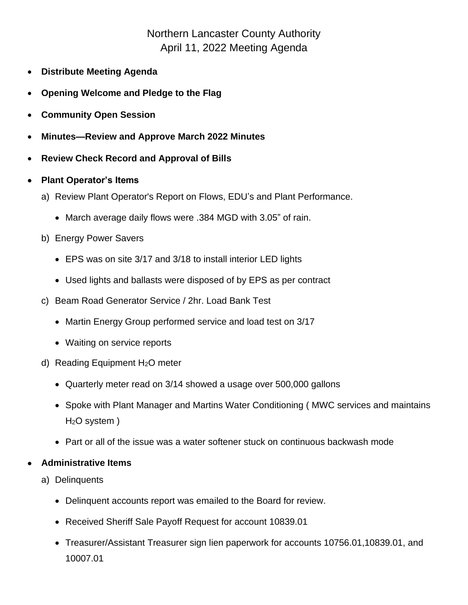## Northern Lancaster County Authority April 11, 2022 Meeting Agenda

- **Distribute Meeting Agenda**
- **Opening Welcome and Pledge to the Flag**
- **Community Open Session**
- **Minutes—Review and Approve March 2022 Minutes**
- **Review Check Record and Approval of Bills**
- **Plant Operator's Items**
	- a) Review Plant Operator's Report on Flows, EDU's and Plant Performance.
		- March average daily flows were .384 MGD with 3.05" of rain.
	- b) Energy Power Savers
		- EPS was on site 3/17 and 3/18 to install interior LED lights
		- Used lights and ballasts were disposed of by EPS as per contract
	- c) Beam Road Generator Service / 2hr. Load Bank Test
		- Martin Energy Group performed service and load test on 3/17
		- Waiting on service reports
	- d) Reading Equipment H2O meter
		- Quarterly meter read on 3/14 showed a usage over 500,000 gallons
		- Spoke with Plant Manager and Martins Water Conditioning ( MWC services and maintains H2O system )
		- Part or all of the issue was a water softener stuck on continuous backwash mode

## • **Administrative Items**

- a) Delinquents
	- Delinquent accounts report was emailed to the Board for review.
	- Received Sheriff Sale Payoff Request for account 10839.01
	- Treasurer/Assistant Treasurer sign lien paperwork for accounts 10756.01,10839.01, and 10007.01